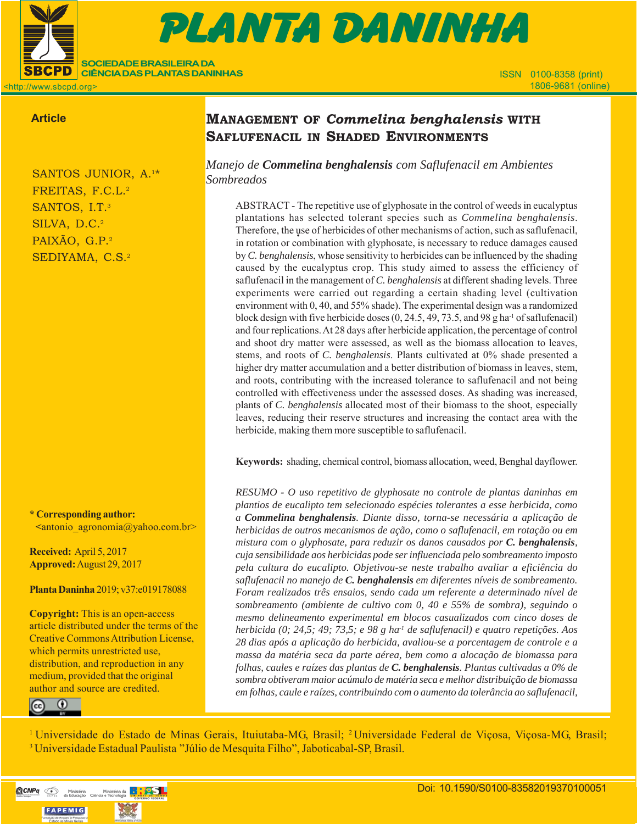

# $\mathcal{S}=\mathcal{S}=\mathcal{S}$  , and all  $\mathcal{S}=\mathcal{S}=\mathcal{S}$  , and all  $\mathcal{S}=\mathcal{S}=\mathcal{S}$ 151103-PD-2016 (9 př. n. l.) Prova Gráfica Gráfica (9 př. n. l.) Prova Gráfica (9 př. n. l.) Prova Gráfica (9 PLANTA DANINHA

<http://www.sbcpd.org>

## **Article**

SANTOS JUNIOR, A.1\* FREITAS, F.C.L.2 SANTOS, I.T.<sup>3</sup> SILVA, D.C.<sup>2</sup> PAIXÃO, G.P.2 SEDIYAMA, C.S.2

**SOCIEDADE BRASILEIRA DA CIÊNCIA DAS PLANTAS DANINHAS**

**\* Corresponding author: <**antonio\_agronomia@yahoo.com.br>

**Received:** April 5, 2017 **Approved:** August 29, 2017

**Planta Daninha** 2019; v37:e019178088

**Copyright:** This is an open-access article distributed under the terms of the Creative Commons Attribution License, which permits unrestricted use, distribution, and reproduction in any medium, provided that the original author and source are credited.



# **MANAGEMENT OF** *Commelina benghalensis* **WITH SAFLUFENACIL IN SHADED ENVIRONMENTS**

*Manejo de Commelina benghalensis com Saflufenacil em Ambientes Sombreados*

ABSTRACT - The repetitive use of glyphosate in the control of weeds in eucalyptus plantations has selected tolerant species such as *Commelina benghalensis*. Therefore, the use of herbicides of other mechanisms of action, such as saflufenacil, in rotation or combination with glyphosate, is necessary to reduce damages caused by *C. benghalensis*, whose sensitivity to herbicides can be influenced by the shading caused by the eucalyptus crop. This study aimed to assess the efficiency of saflufenacil in the management of *C. benghalensis* at different shading levels. Three experiments were carried out regarding a certain shading level (cultivation environment with 0, 40, and 55% shade). The experimental design was a randomized block design with five herbicide doses  $(0, 24.5, 49, 73.5,$  and 98 g ha<sup>-1</sup> of saflufenacil) and four replications. At 28 days after herbicide application, the percentage of control and shoot dry matter were assessed, as well as the biomass allocation to leaves, stems, and roots of *C. benghalensis*. Plants cultivated at 0% shade presented a higher dry matter accumulation and a better distribution of biomass in leaves, stem, and roots, contributing with the increased tolerance to saflufenacil and not being controlled with effectiveness under the assessed doses. As shading was increased, plants of *C. benghalensis* allocated most of their biomass to the shoot, especially leaves, reducing their reserve structures and increasing the contact area with the herbicide, making them more susceptible to saflufenacil.

**Keywords:** shading, chemical control, biomass allocation, weed, Benghal dayflower.

*RESUMO - O uso repetitivo de glyphosate no controle de plantas daninhas em plantios de eucalipto tem selecionado espécies tolerantes a esse herbicida, como a Commelina benghalensis. Diante disso, torna-se necessária a aplicação de herbicidas de outros mecanismos de ação, como o saflufenacil, em rotação ou em mistura com o glyphosate, para reduzir os danos causados por C. benghalensis, cuja sensibilidade aos herbicidas pode ser influenciada pelo sombreamento imposto pela cultura do eucalipto. Objetivou-se neste trabalho avaliar a eficiência do saflufenacil no manejo de C. benghalensis em diferentes níveis de sombreamento. Foram realizados três ensaios, sendo cada um referente a determinado nível de sombreamento (ambiente de cultivo com 0, 40 e 55% de sombra), seguindo o mesmo delineamento experimental em blocos casualizados com cinco doses de herbicida (0; 24,5; 49; 73,5; e 98 g ha-1 de saflufenacil) e quatro repetições. Aos 28 dias após a aplicação do herbicida, avaliou-se a porcentagem de controle e a massa da matéria seca da parte aérea, bem como a alocação de biomassa para folhas, caules e raízes das plantas de C. benghalensis. Plantas cultivadas a 0% de sombra obtiveram maior acúmulo de matéria seca e melhor distribuição de biomassa em folhas, caule e raízes, contribuindo com o aumento da tolerância ao saflufenacil,*

<sup>1</sup> Universidade do Estado de Minas Gerais, Ituiutaba-MG, Brasil; <sup>2</sup> Universidade Federal de Viçosa, Viçosa-MG, Brasil; 3 Universidade Estadual Paulista "Júlio de Mesquita Filho", Jaboticabal-SP, Brasil.

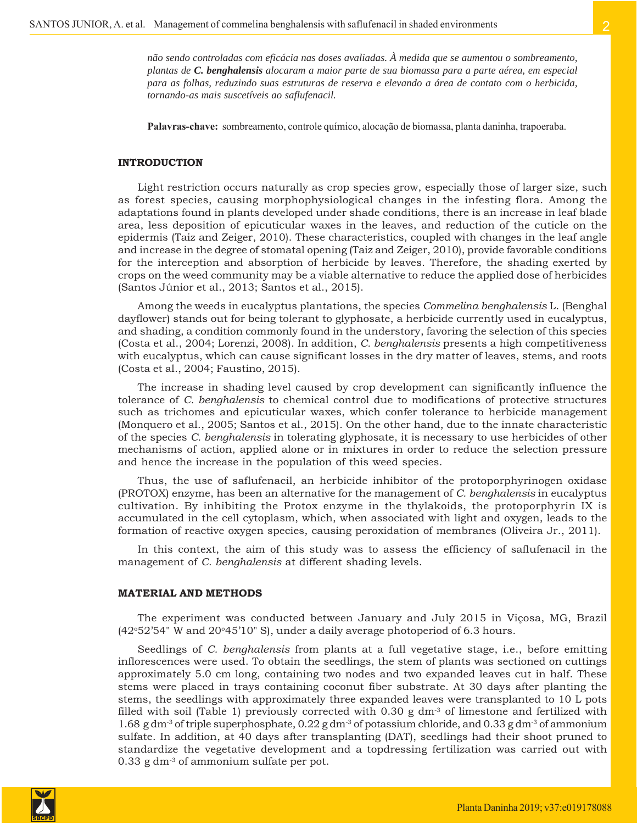**Palavras-chave:** sombreamento, controle químico, alocação de biomassa, planta daninha, trapoeraba.

#### **INTRODUCTION**

Light restriction occurs naturally as crop species grow, especially those of larger size, such as forest species, causing morphophysiological changes in the infesting flora. Among the adaptations found in plants developed under shade conditions, there is an increase in leaf blade area, less deposition of epicuticular waxes in the leaves, and reduction of the cuticle on the epidermis (Taiz and Zeiger, 2010). These characteristics, coupled with changes in the leaf angle and increase in the degree of stomatal opening (Taiz and Zeiger, 2010), provide favorable conditions for the interception and absorption of herbicide by leaves. Therefore, the shading exerted by crops on the weed community may be a viable alternative to reduce the applied dose of herbicides (Santos Júnior et al., 2013; Santos et al., 2015).

Among the weeds in eucalyptus plantations, the species *Commelina benghalensis* L. (Benghal dayflower) stands out for being tolerant to glyphosate, a herbicide currently used in eucalyptus, and shading, a condition commonly found in the understory, favoring the selection of this species (Costa et al., 2004; Lorenzi, 2008). In addition, *C. benghalensis* presents a high competitiveness with eucalyptus, which can cause significant losses in the dry matter of leaves, stems, and roots (Costa et al., 2004; Faustino, 2015).

The increase in shading level caused by crop development can significantly influence the tolerance of *C. benghalensis* to chemical control due to modifications of protective structures such as trichomes and epicuticular waxes, which confer tolerance to herbicide management (Monquero et al., 2005; Santos et al., 2015). On the other hand, due to the innate characteristic of the species *C. benghalensis* in tolerating glyphosate, it is necessary to use herbicides of other mechanisms of action, applied alone or in mixtures in order to reduce the selection pressure and hence the increase in the population of this weed species.

Thus, the use of saflufenacil, an herbicide inhibitor of the protoporphyrinogen oxidase (PROTOX) enzyme, has been an alternative for the management of *C. benghalensis* in eucalyptus cultivation. By inhibiting the Protox enzyme in the thylakoids, the protoporphyrin IX is accumulated in the cell cytoplasm, which, when associated with light and oxygen, leads to the formation of reactive oxygen species, causing peroxidation of membranes (Oliveira Jr., 2011).

In this context, the aim of this study was to assess the efficiency of saflufenacil in the management of *C. benghalensis* at different shading levels.

#### **MATERIAL AND METHODS**

The experiment was conducted between January and July 2015 in Viçosa, MG, Brazil (42 $\degree$ 52'54" W and 20 $\degree$ 45'10" S), under a daily average photoperiod of 6.3 hours.

Seedlings of *C. benghalensis* from plants at a full vegetative stage, i.e., before emitting inflorescences were used. To obtain the seedlings, the stem of plants was sectioned on cuttings approximately 5.0 cm long, containing two nodes and two expanded leaves cut in half. These stems were placed in trays containing coconut fiber substrate. At 30 days after planting the stems, the seedlings with approximately three expanded leaves were transplanted to 10 L pots filled with soil (Table 1) previously corrected with  $0.30 \text{ g dm}$ <sup>3</sup> of limestone and fertilized with 1.68 g dm<sup>-3</sup> of triple superphosphate,  $0.22$  g dm<sup>-3</sup> of potassium chloride, and  $0.33$  g dm<sup>-3</sup> of ammonium sulfate. In addition, at 40 days after transplanting (DAT), seedlings had their shoot pruned to standardize the vegetative development and a topdressing fertilization was carried out with 0.33 g dm-3 of ammonium sulfate per pot.

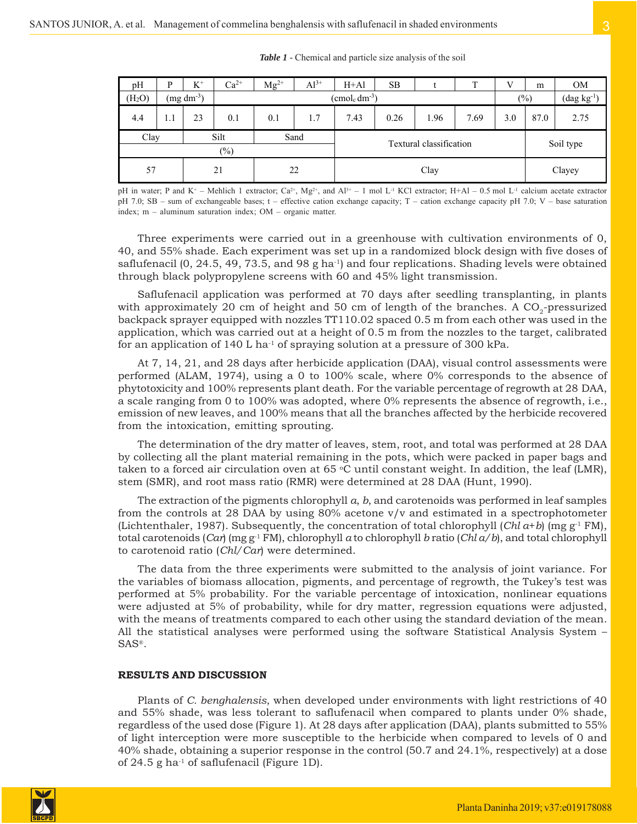*Table 1 -* Chemical and particle size analysis of the soil

| pH                 | P           | $K^+$ | $Ca^{2+}$      | $Mg^{2+}$                         | $Al^{3+}$ | $H+A1$ | SB                      |       |      | V                                        | m         | <b>OM</b> |
|--------------------|-------------|-------|----------------|-----------------------------------|-----------|--------|-------------------------|-------|------|------------------------------------------|-----------|-----------|
| (H <sub>2</sub> O) | $(mg dm-3)$ |       |                | $(\text{cmol}_c \text{ dm}^{-3})$ |           |        |                         | (0/0) |      | $(\mathrm{dag}~\mathrm{kg}^{\text{-}1})$ |           |           |
| 4.4                | 1.1         | 23    | 0.1            | 0.1                               | 1.7       | 7.43   | 0.26                    | 1.96  | 7.69 | 3.0                                      | 87.0      | 2.75      |
| Clay               |             |       | Silt<br>$(\%)$ | Sand                              |           |        | Textural classification |       |      |                                          | Soil type |           |
| 57                 |             |       | 21             | 22                                |           | Clay   |                         |       |      | Clayey                                   |           |           |

pH in water; P and K<sup>+</sup> – Mehlich 1 extractor; Ca<sup>2+</sup>, Mg<sup>2+</sup>, and Al<sup>3+</sup> – 1 mol L<sup>-1</sup> KCl extractor; H+Al – 0.5 mol L<sup>-1</sup> calcium acetate extractor pH 7.0; SB – sum of exchangeable bases; t – effective cation exchange capacity; T – cation exchange capacity pH 7.0; V – base saturation index; m – aluminum saturation index; OM – organic matter.

Three experiments were carried out in a greenhouse with cultivation environments of 0, 40, and 55% shade. Each experiment was set up in a randomized block design with five doses of saflufenacil  $(0, 24.5, 49, 73.5,$  and  $98 \text{ g}$  ha<sup>-1</sup>) and four replications. Shading levels were obtained through black polypropylene screens with 60 and 45% light transmission.

Saflufenacil application was performed at 70 days after seedling transplanting, in plants with approximately 20 cm of height and 50 cm of length of the branches. A  $CO<sub>2</sub>$ -pressurized backpack sprayer equipped with nozzles TT110.02 spaced 0.5 m from each other was used in the application, which was carried out at a height of 0.5 m from the nozzles to the target, calibrated for an application of 140 L ha<sup>-1</sup> of spraying solution at a pressure of 300 kPa.

At 7, 14, 21, and 28 days after herbicide application (DAA), visual control assessments were performed (ALAM, 1974), using a 0 to 100% scale, where 0% corresponds to the absence of phytotoxicity and 100% represents plant death. For the variable percentage of regrowth at 28 DAA, a scale ranging from 0 to 100% was adopted, where 0% represents the absence of regrowth, i.e., emission of new leaves, and 100% means that all the branches affected by the herbicide recovered from the intoxication, emitting sprouting.

The determination of the dry matter of leaves, stem, root, and total was performed at 28 DAA by collecting all the plant material remaining in the pots, which were packed in paper bags and taken to a forced air circulation oven at 65 °C until constant weight. In addition, the leaf (LMR), stem (SMR), and root mass ratio (RMR) were determined at 28 DAA (Hunt, 1990).

The extraction of the pigments chlorophyll *a*, *b*, and carotenoids was performed in leaf samples from the controls at 28 DAA by using 80% acetone v/v and estimated in a spectrophotometer (Lichtenthaler, 1987). Subsequently, the concentration of total chlorophyll (*Chl a+b*) (mg  $g^{-1}$  FM), total carotenoids (*Car*) (mg g-1 FM), chlorophyll *a* to chlorophyll *b* ratio (*Chl a/b*), and total chlorophyll to carotenoid ratio (*Chl/Car*) were determined.

The data from the three experiments were submitted to the analysis of joint variance. For the variables of biomass allocation, pigments, and percentage of regrowth, the Tukey's test was performed at 5% probability. For the variable percentage of intoxication, nonlinear equations were adjusted at 5% of probability, while for dry matter, regression equations were adjusted, with the means of treatments compared to each other using the standard deviation of the mean. All the statistical analyses were performed using the software Statistical Analysis System – SAS®.

### **RESULTS AND DISCUSSION**

Plants of *C. benghalensis*, when developed under environments with light restrictions of 40 and 55% shade, was less tolerant to saflufenacil when compared to plants under 0% shade, regardless of the used dose (Figure 1). At 28 days after application (DAA), plants submitted to 55% of light interception were more susceptible to the herbicide when compared to levels of 0 and 40% shade, obtaining a superior response in the control (50.7 and 24.1%, respectively) at a dose of 24.5 g ha<sup>-1</sup> of saflufenacil (Figure 1D).

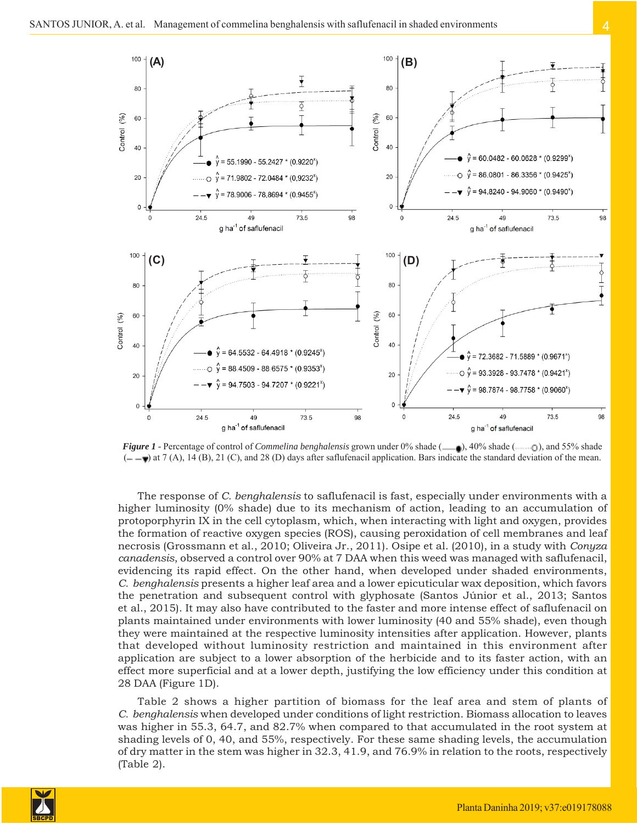

*Figure 1* - Percentage of control of *Commelina benghalensis* grown under 0% shade ( $\Box$ , 40% shade ( $\Box$ , 5% shade  $(-\rightarrow \pi)$  at 7 (A), 14 (B), 21 (C), and 28 (D) days after saflufenacil application. Bars indicate the standard deviation of the mean.

The response of *C. benghalensis* to saflufenacil is fast, especially under environments with a higher luminosity (0% shade) due to its mechanism of action, leading to an accumulation of protoporphyrin IX in the cell cytoplasm, which, when interacting with light and oxygen, provides the formation of reactive oxygen species (ROS), causing peroxidation of cell membranes and leaf necrosis (Grossmann et al., 2010; Oliveira Jr., 2011). Osipe et al. (2010), in a study with *Conyza canadensis*, observed a control over 90% at 7 DAA when this weed was managed with saflufenacil, evidencing its rapid effect. On the other hand, when developed under shaded environments, *C. benghalensis* presents a higher leaf area and a lower epicuticular wax deposition, which favors the penetration and subsequent control with glyphosate (Santos Júnior et al., 2013; Santos et al., 2015). It may also have contributed to the faster and more intense effect of saflufenacil on plants maintained under environments with lower luminosity (40 and 55% shade), even though they were maintained at the respective luminosity intensities after application. However, plants that developed without luminosity restriction and maintained in this environment after application are subject to a lower absorption of the herbicide and to its faster action, with an effect more superficial and at a lower depth, justifying the low efficiency under this condition at 28 DAA (Figure 1D).

Table 2 shows a higher partition of biomass for the leaf area and stem of plants of *C. benghalensis* when developed under conditions of light restriction. Biomass allocation to leaves was higher in 55.3, 64.7, and 82.7% when compared to that accumulated in the root system at shading levels of 0, 40, and 55%, respectively. For these same shading levels, the accumulation of dry matter in the stem was higher in 32.3, 41.9, and 76.9% in relation to the roots, respectively (Table 2).

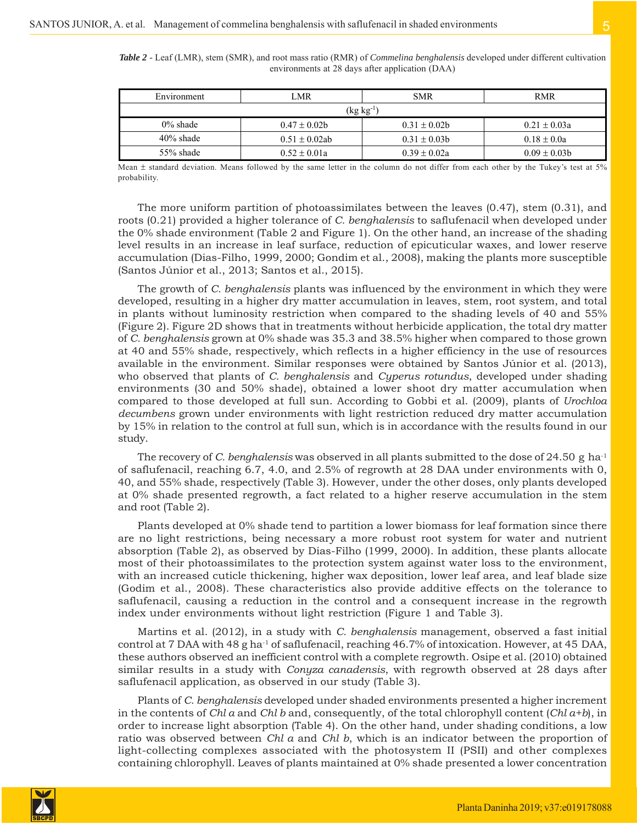| Environment  | LMR                   | <b>SMR</b>       | <b>RMR</b>        |  |  |  |  |
|--------------|-----------------------|------------------|-------------------|--|--|--|--|
|              | $(\text{kg kg}^{-1})$ |                  |                   |  |  |  |  |
| $0\%$ shade  | $0.47 \pm 0.02b$      | $0.31 \pm 0.02b$ | $0.21 \pm 0.03a$  |  |  |  |  |
| $40\%$ shade | $0.51 \pm 0.02$ ab    | $0.31 \pm 0.03b$ | $0.18 \pm 0.0a$   |  |  |  |  |
| 55% shade    | $0.52 \pm 0.01a$      | $0.39 \pm 0.02a$ | $0.09 \pm 0.03 b$ |  |  |  |  |

*Table 2 -* Leaf (LMR), stem (SMR), and root mass ratio (RMR) of *Commelina benghalensis* developed under different cultivation environments at 28 days after application (DAA)

Mean ± standard deviation. Means followed by the same letter in the column do not differ from each other by the Tukey's test at 5% probability.

The more uniform partition of photoassimilates between the leaves (0.47), stem (0.31), and roots (0.21) provided a higher tolerance of *C. benghalensis* to saflufenacil when developed under the 0% shade environment (Table 2 and Figure 1). On the other hand, an increase of the shading level results in an increase in leaf surface, reduction of epicuticular waxes, and lower reserve accumulation (Dias-Filho, 1999, 2000; Gondim et al., 2008), making the plants more susceptible (Santos Júnior et al., 2013; Santos et al., 2015).

The growth of *C. benghalensis* plants was influenced by the environment in which they were developed, resulting in a higher dry matter accumulation in leaves, stem, root system, and total in plants without luminosity restriction when compared to the shading levels of 40 and 55% (Figure 2). Figure 2D shows that in treatments without herbicide application, the total dry matter of *C. benghalensis* grown at 0% shade was 35.3 and 38.5% higher when compared to those grown at 40 and 55% shade, respectively, which reflects in a higher efficiency in the use of resources available in the environment. Similar responses were obtained by Santos Júnior et al. (2013), who observed that plants of *C. benghalensis* and *Cyperus rotundus*, developed under shading environments (30 and 50% shade), obtained a lower shoot dry matter accumulation when compared to those developed at full sun. According to Gobbi et al. (2009), plants of *Urochloa decumbens* grown under environments with light restriction reduced dry matter accumulation by 15% in relation to the control at full sun, which is in accordance with the results found in our study.

The recovery of *C. benghalensis* was observed in all plants submitted to the dose of 24.50 g ha-1 of saflufenacil, reaching 6.7, 4.0, and 2.5% of regrowth at 28 DAA under environments with 0, 40, and 55% shade, respectively (Table 3). However, under the other doses, only plants developed at 0% shade presented regrowth, a fact related to a higher reserve accumulation in the stem and root (Table 2).

Plants developed at 0% shade tend to partition a lower biomass for leaf formation since there are no light restrictions, being necessary a more robust root system for water and nutrient absorption (Table 2), as observed by Dias-Filho (1999, 2000). In addition, these plants allocate most of their photoassimilates to the protection system against water loss to the environment, with an increased cuticle thickening, higher wax deposition, lower leaf area, and leaf blade size (Godim et al., 2008). These characteristics also provide additive effects on the tolerance to saflufenacil, causing a reduction in the control and a consequent increase in the regrowth index under environments without light restriction (Figure 1 and Table 3).

Martins et al. (2012), in a study with *C. benghalensis* management, observed a fast initial control at 7 DAA with 48 g ha-1 of saflufenacil, reaching 46.7% of intoxication. However, at 45 DAA, these authors observed an inefficient control with a complete regrowth. Osipe et al. (2010) obtained similar results in a study with *Conyza canadensis*, with regrowth observed at 28 days after saflufenacil application, as observed in our study (Table 3).

Plants of *C. benghalensis* developed under shaded environments presented a higher increment in the contents of *Chl a* and *Chl b* and, consequently, of the total chlorophyll content (*Chl a+b*), in order to increase light absorption (Table 4). On the other hand, under shading conditions, a low ratio was observed between *Chl a* and *Chl b*, which is an indicator between the proportion of light-collecting complexes associated with the photosystem II (PSII) and other complexes containing chlorophyll. Leaves of plants maintained at 0% shade presented a lower concentration

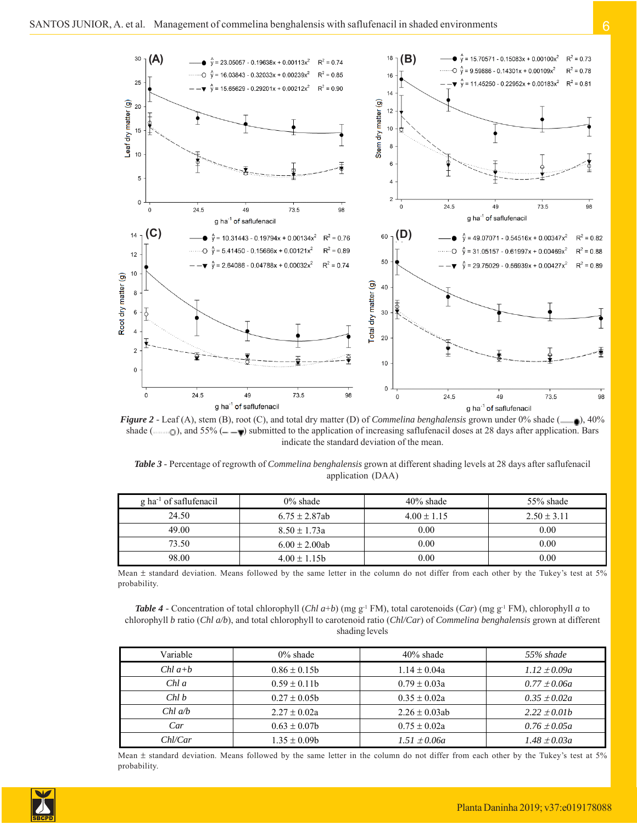

*Figure 2* - Leaf (A), stem (B), root (C), and total dry matter (D) of *Commelina benghalensis* grown under 0% shade (  $\Box$ ), 40% shade ( $\Box$ ), and 55% ( $\Box$ ) submitted to the application of increasing saflufenacil doses at 28 days after application. Bars indicate the standard deviation of the mean.

*Table 3 -* Percentage of regrowth of *Commelina benghalensis* grown at different shading levels at 28 days after saflufenacil application (DAA)

| $\mathfrak g$ ha <sup>-1</sup> of saflufenacil | $0\%$ shade        | $40\%$ shade    | 55% shade       |  |  |
|------------------------------------------------|--------------------|-----------------|-----------------|--|--|
| 24.50                                          | $6.75 \pm 2.87$ ab | $4.00 \pm 1.15$ | $2.50 \pm 3.11$ |  |  |
| 49.00                                          | $8.50 \pm 1.73a$   | 0.00            | 0.00            |  |  |
| 73.50                                          | $6.00 \pm 2.00$ ab | 0.00            | 0.00            |  |  |
| 98.00                                          | $4.00 \pm 1.15$ b  | 0.00            | 0.00            |  |  |

Mean  $\pm$  standard deviation. Means followed by the same letter in the column do not differ from each other by the Tukey's test at 5% probability.

*Table 4* - Concentration of total chlorophyll (*Chl a*+*b*) (mg g<sup>-1</sup> FM), total carotenoids (*Car*) (mg g<sup>-1</sup> FM), chlorophyll *a* to chlorophyll *b* ratio (*Chl a/b*), and total chlorophyll to carotenoid ratio (*Chl/Car*) of *Commelina benghalensis* grown at different shading levels

| Variable   | $0\%$ shade       | $40\%$ shade       | 55% shade        |
|------------|-------------------|--------------------|------------------|
| $Chl\ a+b$ | $0.86 \pm 0.15b$  | $1.14 \pm 0.04a$   | $1.12 \pm 0.09a$ |
| $Chl\ a$   | $0.59 \pm 0.11$ b | $0.79 \pm 0.03a$   | $0.77 \pm 0.06a$ |
| Chl b      | $0.27 \pm 0.05$   | $0.35 \pm 0.02a$   | $0.35 \pm 0.02a$ |
| $Chl$ a/b  | $2.27 \pm 0.02a$  | $2.26 \pm 0.03$ ab | $2.22 \pm 0.01b$ |
| Car        | $0.63 \pm 0.07$   | $0.75 \pm 0.02a$   | $0.76 \pm 0.05a$ |
| Chl/Car    | $1.35 \pm 0.09b$  | $1.51 \pm 0.06a$   | $1.48 \pm 0.03a$ |

Mean  $\pm$  standard deviation. Means followed by the same letter in the column do not differ from each other by the Tukey's test at 5% probability.

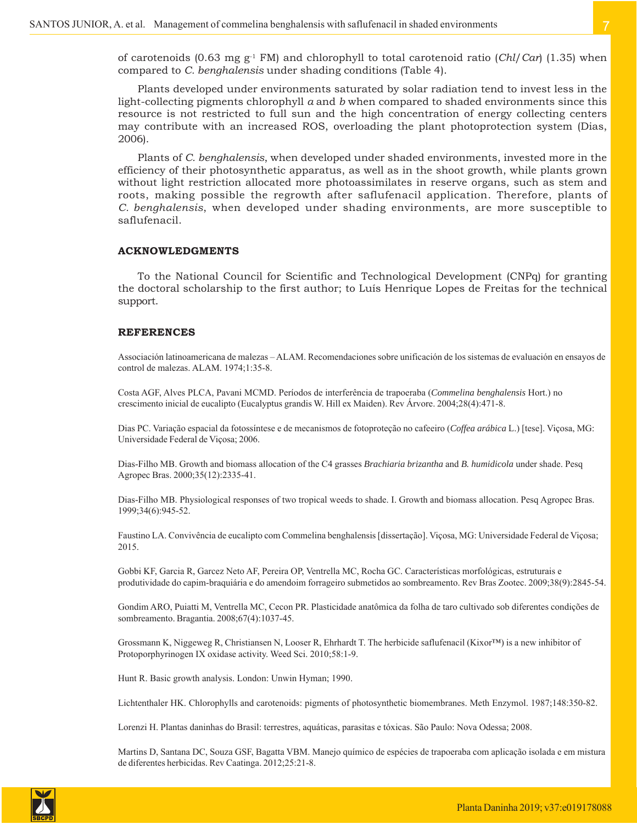of carotenoids (0.63 mg g-1 FM) and chlorophyll to total carotenoid ratio (*Chl*/*Car*) (1.35) when compared to *C. benghalensis* under shading conditions (Table 4).

Plants developed under environments saturated by solar radiation tend to invest less in the light-collecting pigments chlorophyll *a* and *b* when compared to shaded environments since this resource is not restricted to full sun and the high concentration of energy collecting centers may contribute with an increased ROS, overloading the plant photoprotection system (Dias, 2006).

Plants of *C. benghalensis*, when developed under shaded environments, invested more in the efficiency of their photosynthetic apparatus, as well as in the shoot growth, while plants grown without light restriction allocated more photoassimilates in reserve organs, such as stem and roots, making possible the regrowth after saflufenacil application. Therefore, plants of *C. benghalensis*, when developed under shading environments, are more susceptible to saflufenacil.

#### **ACKNOWLEDGMENTS**

To the National Council for Scientific and Technological Development (CNPq) for granting the doctoral scholarship to the first author; to Luís Henrique Lopes de Freitas for the technical support.

#### **REFERENCES**

Associación latinoamericana de malezas – ALAM. Recomendaciones sobre unificación de los sistemas de evaluación en ensayos de control de malezas. ALAM. 1974;1:35-8.

Costa AGF, Alves PLCA, Pavani MCMD. Períodos de interferência de trapoeraba (*Commelina benghalensis* Hort.) no crescimento inicial de eucalipto (Eucalyptus grandis W. Hill ex Maiden). Rev Árvore. 2004;28(4):471-8.

Dias PC. Variação espacial da fotossíntese e de mecanismos de fotoproteção no cafeeiro (*Coffea arábica* L.) [tese]. Viçosa, MG: Universidade Federal de Viçosa; 2006.

Dias-Filho MB. Growth and biomass allocation of the C4 grasses *Brachiaria brizantha* and *B. humidicola* under shade. Pesq Agropec Bras. 2000;35(12):2335-41.

Dias-Filho MB. Physiological responses of two tropical weeds to shade. I. Growth and biomass allocation. Pesq Agropec Bras. 1999;34(6):945-52.

Faustino LA. Convivência de eucalipto com Commelina benghalensis [dissertação]. Viçosa, MG: Universidade Federal de Viçosa; 2015.

Gobbi KF, Garcia R, Garcez Neto AF, Pereira OP, Ventrella MC, Rocha GC. Características morfológicas, estruturais e produtividade do capim-braquiária e do amendoim forrageiro submetidos ao sombreamento. Rev Bras Zootec. 2009;38(9):2845-54.

Gondim ARO, Puiatti M, Ventrella MC, Cecon PR. Plasticidade anatômica da folha de taro cultivado sob diferentes condições de sombreamento. Bragantia. 2008;67(4):1037-45.

Grossmann K, Niggeweg R, Christiansen N, Looser R, Ehrhardt T. The herbicide saflufenacil (Kixor™) is a new inhibitor of Protoporphyrinogen IX oxidase activity. Weed Sci. 2010;58:1-9.

Hunt R. Basic growth analysis. London: Unwin Hyman; 1990.

Lichtenthaler HK. Chlorophylls and carotenoids: pigments of photosynthetic biomembranes. Meth Enzymol. 1987;148:350-82.

Lorenzi H. Plantas daninhas do Brasil: terrestres, aquáticas, parasitas e tóxicas. São Paulo: Nova Odessa; 2008.

Martins D, Santana DC, Souza GSF, Bagatta VBM. Manejo químico de espécies de trapoeraba com aplicação isolada e em mistura de diferentes herbicidas. Rev Caatinga. 2012;25:21-8.